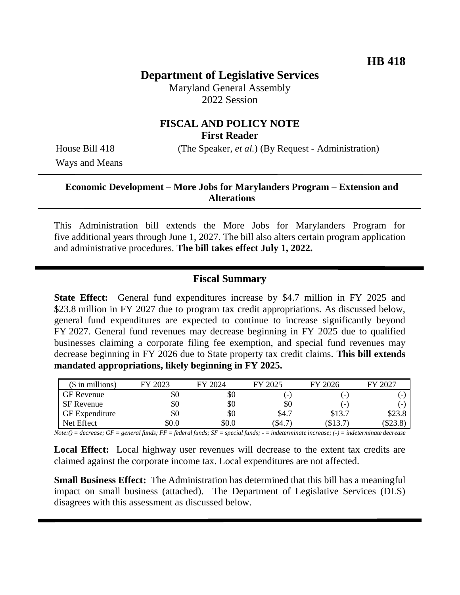# **Department of Legislative Services**

Maryland General Assembly 2022 Session

# **FISCAL AND POLICY NOTE First Reader**

House Bill 418 (The Speaker, *et al.*) (By Request - Administration)

Ways and Means

### **Economic Development – More Jobs for Marylanders Program – Extension and Alterations**

This Administration bill extends the More Jobs for Marylanders Program for five additional years through June 1, 2027. The bill also alters certain program application and administrative procedures. **The bill takes effect July 1, 2022.**

## **Fiscal Summary**

**State Effect:** General fund expenditures increase by \$4.7 million in FY 2025 and \$23.8 million in FY 2027 due to program tax credit appropriations. As discussed below, general fund expenditures are expected to continue to increase significantly beyond FY 2027. General fund revenues may decrease beginning in FY 2025 due to qualified businesses claiming a corporate filing fee exemption, and special fund revenues may decrease beginning in FY 2026 due to State property tax credit claims. **This bill extends mandated appropriations, likely beginning in FY 2025.** 

| $($$ in millions)     | FY 2023 | FY 2024 | FY 2025 | FY 2026                  | FY 2027 |
|-----------------------|---------|---------|---------|--------------------------|---------|
| GF Revenue            | \$0     | \$0     | -       | ۰                        |         |
| <b>SF</b> Revenue     | \$0     | \$0     | \$0     | $\overline{\phantom{0}}$ |         |
| <b>GF</b> Expenditure | \$0     | \$0     | \$4.7   | \$13.7                   | \$23.8  |
| Net Effect            | \$0.0   | \$0.0   | (\$4.7  | \$13.7                   | (S23.8) |

*Note:() = decrease; GF = general funds; FF = federal funds; SF = special funds; - = indeterminate increase; (-) = indeterminate decrease*

**Local Effect:** Local highway user revenues will decrease to the extent tax credits are claimed against the corporate income tax. Local expenditures are not affected.

**Small Business Effect:** The Administration has determined that this bill has a meaningful impact on small business (attached). The Department of Legislative Services (DLS) disagrees with this assessment as discussed below.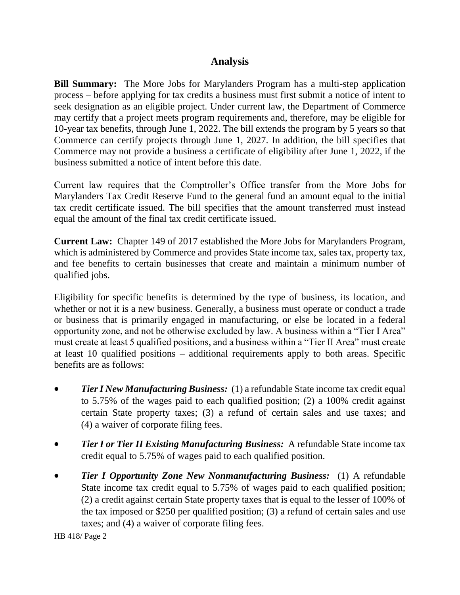# **Analysis**

**Bill Summary:** The More Jobs for Marylanders Program has a multi-step application process – before applying for tax credits a business must first submit a notice of intent to seek designation as an eligible project. Under current law, the Department of Commerce may certify that a project meets program requirements and, therefore, may be eligible for 10-year tax benefits, through June 1, 2022. The bill extends the program by 5 years so that Commerce can certify projects through June 1, 2027. In addition, the bill specifies that Commerce may not provide a business a certificate of eligibility after June 1, 2022, if the business submitted a notice of intent before this date.

Current law requires that the Comptroller's Office transfer from the More Jobs for Marylanders Tax Credit Reserve Fund to the general fund an amount equal to the initial tax credit certificate issued. The bill specifies that the amount transferred must instead equal the amount of the final tax credit certificate issued.

**Current Law:** Chapter 149 of 2017 established the More Jobs for Marylanders Program, which is administered by Commerce and provides State income tax, sales tax, property tax, and fee benefits to certain businesses that create and maintain a minimum number of qualified jobs.

Eligibility for specific benefits is determined by the type of business, its location, and whether or not it is a new business. Generally, a business must operate or conduct a trade or business that is primarily engaged in manufacturing, or else be located in a federal opportunity zone, and not be otherwise excluded by law. A business within a "Tier I Area" must create at least 5 qualified positions, and a business within a "Tier II Area" must create at least 10 qualified positions – additional requirements apply to both areas. Specific benefits are as follows:

- *Tier I New Manufacturing Business:* (1) a refundable State income tax credit equal to 5.75% of the wages paid to each qualified position; (2) a 100% credit against certain State property taxes; (3) a refund of certain sales and use taxes; and (4) a waiver of corporate filing fees.
- *Tier I or Tier II Existing Manufacturing Business:* A refundable State income tax credit equal to 5.75% of wages paid to each qualified position.
- *Tier I Opportunity Zone New Nonmanufacturing Business:* (1) A refundable State income tax credit equal to 5.75% of wages paid to each qualified position; (2) a credit against certain State property taxes that is equal to the lesser of 100% of the tax imposed or \$250 per qualified position; (3) a refund of certain sales and use taxes; and (4) a waiver of corporate filing fees.

HB 418/ Page 2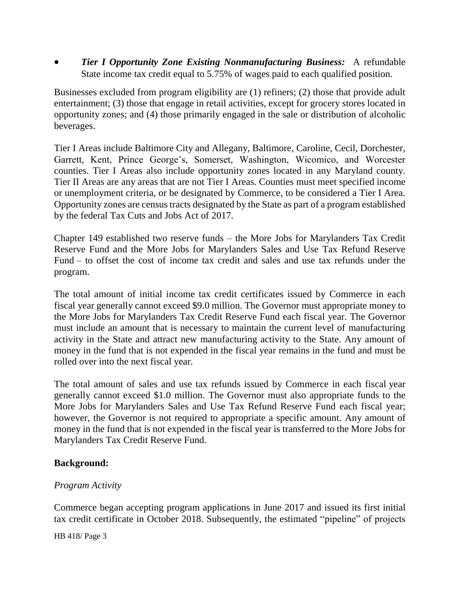*Tier I Opportunity Zone Existing Nonmanufacturing Business:* A refundable State income tax credit equal to 5.75% of wages paid to each qualified position.

Businesses excluded from program eligibility are (1) refiners; (2) those that provide adult entertainment; (3) those that engage in retail activities, except for grocery stores located in opportunity zones; and (4) those primarily engaged in the sale or distribution of alcoholic beverages.

Tier I Areas include Baltimore City and Allegany, Baltimore, Caroline, Cecil, Dorchester, Garrett, Kent, Prince George's, Somerset, Washington, Wicomico, and Worcester counties. Tier I Areas also include opportunity zones located in any Maryland county. Tier II Areas are any areas that are not Tier I Areas. Counties must meet specified income or unemployment criteria, or be designated by Commerce, to be considered a Tier I Area. Opportunity zones are census tracts designated by the State as part of a program established by the federal Tax Cuts and Jobs Act of 2017.

Chapter 149 established two reserve funds – the More Jobs for Marylanders Tax Credit Reserve Fund and the More Jobs for Marylanders Sales and Use Tax Refund Reserve Fund – to offset the cost of income tax credit and sales and use tax refunds under the program.

The total amount of initial income tax credit certificates issued by Commerce in each fiscal year generally cannot exceed \$9.0 million. The Governor must appropriate money to the More Jobs for Marylanders Tax Credit Reserve Fund each fiscal year. The Governor must include an amount that is necessary to maintain the current level of manufacturing activity in the State and attract new manufacturing activity to the State. Any amount of money in the fund that is not expended in the fiscal year remains in the fund and must be rolled over into the next fiscal year.

The total amount of sales and use tax refunds issued by Commerce in each fiscal year generally cannot exceed \$1.0 million. The Governor must also appropriate funds to the More Jobs for Marylanders Sales and Use Tax Refund Reserve Fund each fiscal year; however, the Governor is not required to appropriate a specific amount. Any amount of money in the fund that is not expended in the fiscal year is transferred to the More Jobs for Marylanders Tax Credit Reserve Fund.

### **Background:**

#### *Program Activity*

Commerce began accepting program applications in June 2017 and issued its first initial tax credit certificate in October 2018. Subsequently, the estimated "pipeline" of projects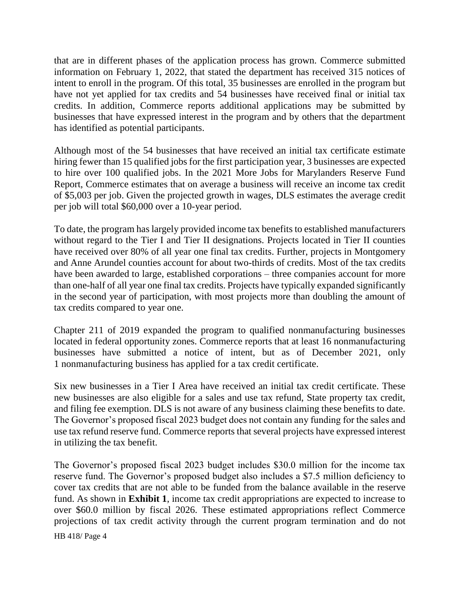that are in different phases of the application process has grown. Commerce submitted information on February 1, 2022, that stated the department has received 315 notices of intent to enroll in the program. Of this total, 35 businesses are enrolled in the program but have not yet applied for tax credits and 54 businesses have received final or initial tax credits. In addition, Commerce reports additional applications may be submitted by businesses that have expressed interest in the program and by others that the department has identified as potential participants.

Although most of the 54 businesses that have received an initial tax certificate estimate hiring fewer than 15 qualified jobs for the first participation year, 3 businesses are expected to hire over 100 qualified jobs. In the 2021 More Jobs for Marylanders Reserve Fund Report, Commerce estimates that on average a business will receive an income tax credit of \$5,003 per job. Given the projected growth in wages, DLS estimates the average credit per job will total \$60,000 over a 10-year period.

To date, the program has largely provided income tax benefits to established manufacturers without regard to the Tier I and Tier II designations. Projects located in Tier II counties have received over 80% of all year one final tax credits. Further, projects in Montgomery and Anne Arundel counties account for about two-thirds of credits. Most of the tax credits have been awarded to large, established corporations – three companies account for more than one-half of all year one final tax credits. Projects have typically expanded significantly in the second year of participation, with most projects more than doubling the amount of tax credits compared to year one.

Chapter 211 of 2019 expanded the program to qualified nonmanufacturing businesses located in federal opportunity zones. Commerce reports that at least 16 nonmanufacturing businesses have submitted a notice of intent, but as of December 2021, only 1 nonmanufacturing business has applied for a tax credit certificate.

Six new businesses in a Tier I Area have received an initial tax credit certificate. These new businesses are also eligible for a sales and use tax refund, State property tax credit, and filing fee exemption. DLS is not aware of any business claiming these benefits to date. The Governor's proposed fiscal 2023 budget does not contain any funding for the sales and use tax refund reserve fund. Commerce reports that several projects have expressed interest in utilizing the tax benefit.

The Governor's proposed fiscal 2023 budget includes \$30.0 million for the income tax reserve fund. The Governor's proposed budget also includes a \$7.5 million deficiency to cover tax credits that are not able to be funded from the balance available in the reserve fund. As shown in **Exhibit 1**, income tax credit appropriations are expected to increase to over \$60.0 million by fiscal 2026. These estimated appropriations reflect Commerce projections of tax credit activity through the current program termination and do not

HB 418/ Page 4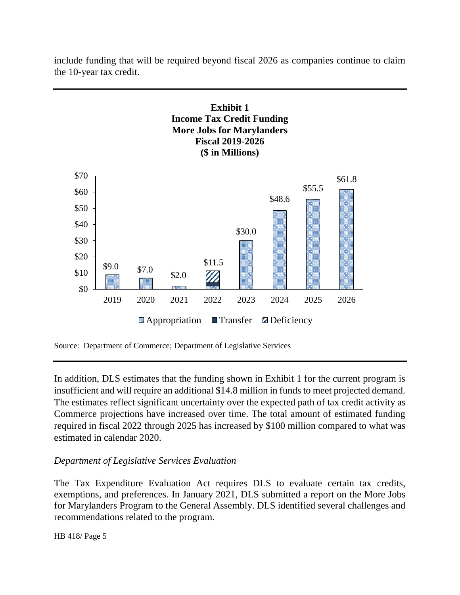

include funding that will be required beyond fiscal 2026 as companies continue to claim the 10-year tax credit.

Source: Department of Commerce; Department of Legislative Services

In addition, DLS estimates that the funding shown in Exhibit 1 for the current program is insufficient and will require an additional \$14.8 million in funds to meet projected demand. The estimates reflect significant uncertainty over the expected path of tax credit activity as Commerce projections have increased over time. The total amount of estimated funding required in fiscal 2022 through 2025 has increased by \$100 million compared to what was estimated in calendar 2020.

### *Department of Legislative Services Evaluation*

The Tax Expenditure Evaluation Act requires DLS to evaluate certain tax credits, exemptions, and preferences. In January 2021, DLS submitted a report on the More Jobs for Marylanders Program to the General Assembly. DLS identified several challenges and recommendations related to the program.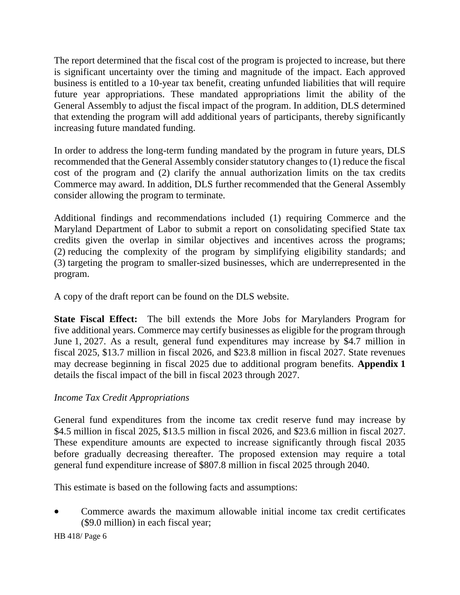The report determined that the fiscal cost of the program is projected to increase, but there is significant uncertainty over the timing and magnitude of the impact. Each approved business is entitled to a 10-year tax benefit, creating unfunded liabilities that will require future year appropriations. These mandated appropriations limit the ability of the General Assembly to adjust the fiscal impact of the program. In addition, DLS determined that extending the program will add additional years of participants, thereby significantly increasing future mandated funding.

In order to address the long-term funding mandated by the program in future years, DLS recommended that the General Assembly consider statutory changes to (1) reduce the fiscal cost of the program and (2) clarify the annual authorization limits on the tax credits Commerce may award. In addition, DLS further recommended that the General Assembly consider allowing the program to terminate.

Additional findings and recommendations included (1) requiring Commerce and the Maryland Department of Labor to submit a report on consolidating specified State tax credits given the overlap in similar objectives and incentives across the programs; (2) reducing the complexity of the program by simplifying eligibility standards; and (3) targeting the program to smaller-sized businesses, which are underrepresented in the program.

A copy of the draft report can be found on the DLS website.

**State Fiscal Effect:** The bill extends the More Jobs for Marylanders Program for five additional years. Commerce may certify businesses as eligible for the program through June 1, 2027. As a result, general fund expenditures may increase by \$4.7 million in fiscal 2025, \$13.7 million in fiscal 2026, and \$23.8 million in fiscal 2027. State revenues may decrease beginning in fiscal 2025 due to additional program benefits. **Appendix 1** details the fiscal impact of the bill in fiscal 2023 through 2027.

### *Income Tax Credit Appropriations*

General fund expenditures from the income tax credit reserve fund may increase by \$4.5 million in fiscal 2025, \$13.5 million in fiscal 2026, and \$23.6 million in fiscal 2027. These expenditure amounts are expected to increase significantly through fiscal 2035 before gradually decreasing thereafter. The proposed extension may require a total general fund expenditure increase of \$807.8 million in fiscal 2025 through 2040.

This estimate is based on the following facts and assumptions:

 Commerce awards the maximum allowable initial income tax credit certificates (\$9.0 million) in each fiscal year;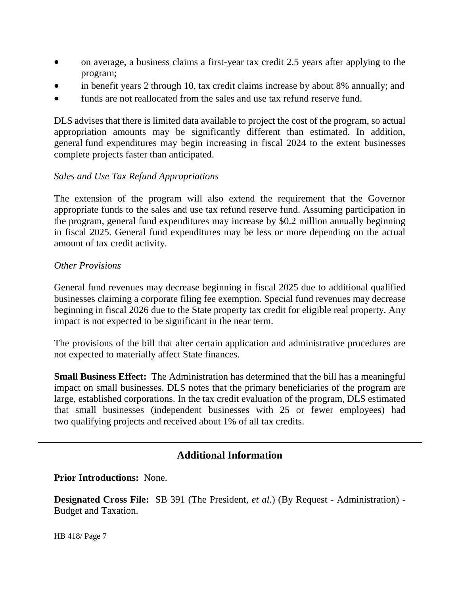- on average, a business claims a first-year tax credit 2.5 years after applying to the program;
- in benefit years 2 through 10, tax credit claims increase by about 8% annually; and
- funds are not reallocated from the sales and use tax refund reserve fund.

DLS advises that there is limited data available to project the cost of the program, so actual appropriation amounts may be significantly different than estimated. In addition, general fund expenditures may begin increasing in fiscal 2024 to the extent businesses complete projects faster than anticipated.

### *Sales and Use Tax Refund Appropriations*

The extension of the program will also extend the requirement that the Governor appropriate funds to the sales and use tax refund reserve fund. Assuming participation in the program, general fund expenditures may increase by \$0.2 million annually beginning in fiscal 2025. General fund expenditures may be less or more depending on the actual amount of tax credit activity.

#### *Other Provisions*

General fund revenues may decrease beginning in fiscal 2025 due to additional qualified businesses claiming a corporate filing fee exemption. Special fund revenues may decrease beginning in fiscal 2026 due to the State property tax credit for eligible real property. Any impact is not expected to be significant in the near term.

The provisions of the bill that alter certain application and administrative procedures are not expected to materially affect State finances.

**Small Business Effect:** The Administration has determined that the bill has a meaningful impact on small businesses. DLS notes that the primary beneficiaries of the program are large, established corporations. In the tax credit evaluation of the program, DLS estimated that small businesses (independent businesses with 25 or fewer employees) had two qualifying projects and received about 1% of all tax credits.

# **Additional Information**

#### **Prior Introductions:** None.

**Designated Cross File:** SB 391 (The President, *et al.*) (By Request - Administration) - Budget and Taxation.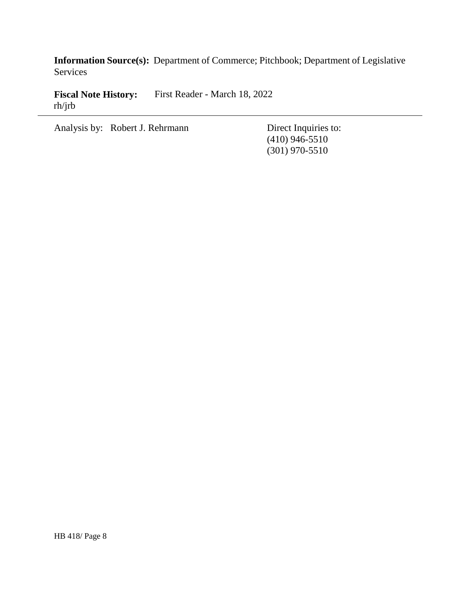**Information Source(s):** Department of Commerce; Pitchbook; Department of Legislative Services

**Fiscal Note History:** First Reader - March 18, 2022 rh/jrb

Analysis by: Robert J. Rehrmann Direct Inquiries to:

(410) 946-5510 (301) 970-5510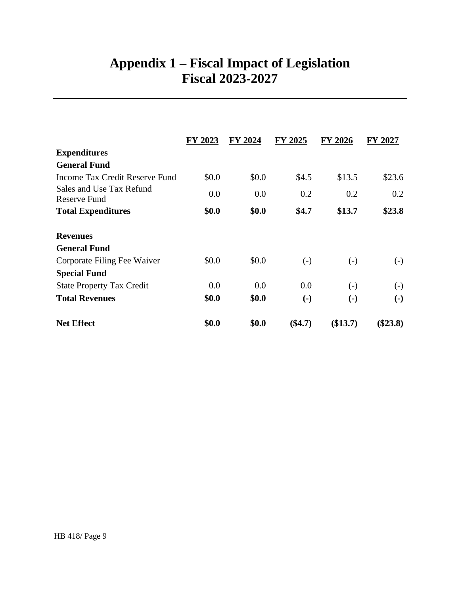# **Appendix 1 – Fiscal Impact of Legislation Fiscal 2023-2027**

|                                                 | FY 2023 | FY 2024 | FY 2025                | <b>FY 2026</b>            | FY 2027                   |
|-------------------------------------------------|---------|---------|------------------------|---------------------------|---------------------------|
| <b>Expenditures</b>                             |         |         |                        |                           |                           |
| <b>General Fund</b>                             |         |         |                        |                           |                           |
| Income Tax Credit Reserve Fund                  | \$0.0   | \$0.0   | \$4.5                  | \$13.5                    | \$23.6                    |
| Sales and Use Tax Refund<br><b>Reserve Fund</b> | 0.0     | 0.0     | 0.2                    | 0.2                       | 0.2                       |
| <b>Total Expenditures</b>                       | \$0.0   | \$0.0   | \$4.7                  | \$13.7                    | \$23.8                    |
| <b>Revenues</b>                                 |         |         |                        |                           |                           |
| <b>General Fund</b>                             |         |         |                        |                           |                           |
| Corporate Filing Fee Waiver                     | \$0.0   | \$0.0   | $\left( -\right)$      | $\left( -\right)$         | $(\text{-})$              |
| <b>Special Fund</b>                             |         |         |                        |                           |                           |
| <b>State Property Tax Credit</b>                | 0.0     | 0.0     | 0.0                    | $\left( -\right)$         | $(-)$                     |
| <b>Total Revenues</b>                           | \$0.0   | \$0.0   | $\left( \cdot \right)$ | $\left( \text{-} \right)$ | $\left( \text{-} \right)$ |
| <b>Net Effect</b>                               | \$0.0   | \$0.0   | $(\$4.7)$              | (\$13.7)                  | $(\$23.8)$                |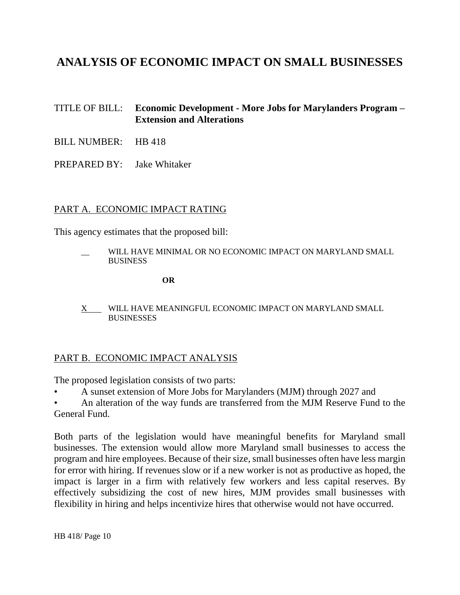# **ANALYSIS OF ECONOMIC IMPACT ON SMALL BUSINESSES**

### TITLE OF BILL: **Economic Development - More Jobs for Marylanders Program – Extension and Alterations**

- BILL NUMBER: HB 418
- PREPARED BY: Jake Whitaker

#### PART A. ECONOMIC IMPACT RATING

This agency estimates that the proposed bill:

WILL HAVE MINIMAL OR NO ECONOMIC IMPACT ON MARYLAND SMALL **BUSINESS** 

**OR**

X WILL HAVE MEANINGFUL ECONOMIC IMPACT ON MARYLAND SMALL **BUSINESSES** 

#### PART B. ECONOMIC IMPACT ANALYSIS

The proposed legislation consists of two parts:

- A sunset extension of More Jobs for Marylanders (MJM) through 2027 and
- An alteration of the way funds are transferred from the MJM Reserve Fund to the General Fund.

Both parts of the legislation would have meaningful benefits for Maryland small businesses. The extension would allow more Maryland small businesses to access the program and hire employees. Because of their size, small businesses often have less margin for error with hiring. If revenues slow or if a new worker is not as productive as hoped, the impact is larger in a firm with relatively few workers and less capital reserves. By effectively subsidizing the cost of new hires, MJM provides small businesses with flexibility in hiring and helps incentivize hires that otherwise would not have occurred.

HB 418/ Page 10